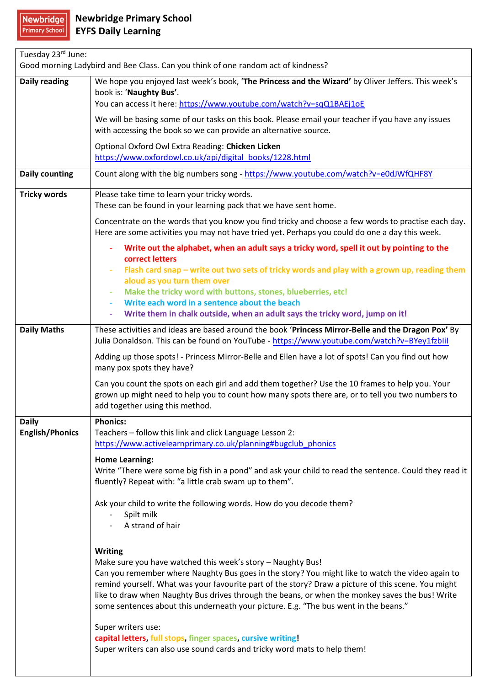| Tuesday 23rd June:<br>Good morning Ladybird and Bee Class. Can you think of one random act of kindness? |                                                                                                                                                                                                                                                                                                                                                                                                                                                                                                                                                                                                                                                        |
|---------------------------------------------------------------------------------------------------------|--------------------------------------------------------------------------------------------------------------------------------------------------------------------------------------------------------------------------------------------------------------------------------------------------------------------------------------------------------------------------------------------------------------------------------------------------------------------------------------------------------------------------------------------------------------------------------------------------------------------------------------------------------|
| <b>Daily reading</b>                                                                                    | We hope you enjoyed last week's book, 'The Princess and the Wizard' by Oliver Jeffers. This week's                                                                                                                                                                                                                                                                                                                                                                                                                                                                                                                                                     |
|                                                                                                         | book is: 'Naughty Bus'.                                                                                                                                                                                                                                                                                                                                                                                                                                                                                                                                                                                                                                |
|                                                                                                         | You can access it here: https://www.youtube.com/watch?v=sqQ1BAEj1oE<br>We will be basing some of our tasks on this book. Please email your teacher if you have any issues                                                                                                                                                                                                                                                                                                                                                                                                                                                                              |
|                                                                                                         | with accessing the book so we can provide an alternative source.                                                                                                                                                                                                                                                                                                                                                                                                                                                                                                                                                                                       |
|                                                                                                         | Optional Oxford Owl Extra Reading: Chicken Licken<br>https://www.oxfordowl.co.uk/api/digital_books/1228.html                                                                                                                                                                                                                                                                                                                                                                                                                                                                                                                                           |
| <b>Daily counting</b>                                                                                   | Count along with the big numbers song - https://www.youtube.com/watch?v=e0dJWfQHF8Y                                                                                                                                                                                                                                                                                                                                                                                                                                                                                                                                                                    |
| <b>Tricky words</b>                                                                                     | Please take time to learn your tricky words.<br>These can be found in your learning pack that we have sent home.                                                                                                                                                                                                                                                                                                                                                                                                                                                                                                                                       |
|                                                                                                         | Concentrate on the words that you know you find tricky and choose a few words to practise each day.<br>Here are some activities you may not have tried yet. Perhaps you could do one a day this week.                                                                                                                                                                                                                                                                                                                                                                                                                                                  |
|                                                                                                         | Write out the alphabet, when an adult says a tricky word, spell it out by pointing to the<br>correct letters                                                                                                                                                                                                                                                                                                                                                                                                                                                                                                                                           |
|                                                                                                         | Flash card snap – write out two sets of tricky words and play with a grown up, reading them<br>aloud as you turn them over                                                                                                                                                                                                                                                                                                                                                                                                                                                                                                                             |
|                                                                                                         | Make the tricky word with buttons, stones, blueberries, etc!                                                                                                                                                                                                                                                                                                                                                                                                                                                                                                                                                                                           |
|                                                                                                         | Write each word in a sentence about the beach<br>Write them in chalk outside, when an adult says the tricky word, jump on it!<br>$\blacksquare$                                                                                                                                                                                                                                                                                                                                                                                                                                                                                                        |
| <b>Daily Maths</b>                                                                                      | These activities and ideas are based around the book 'Princess Mirror-Belle and the Dragon Pox' By<br>Julia Donaldson. This can be found on YouTube - https://www.youtube.com/watch?v=BYey1fzblil                                                                                                                                                                                                                                                                                                                                                                                                                                                      |
|                                                                                                         | Adding up those spots! - Princess Mirror-Belle and Ellen have a lot of spots! Can you find out how<br>many pox spots they have?                                                                                                                                                                                                                                                                                                                                                                                                                                                                                                                        |
|                                                                                                         | Can you count the spots on each girl and add them together? Use the 10 frames to help you. Your<br>grown up might need to help you to count how many spots there are, or to tell you two numbers to<br>add together using this method.                                                                                                                                                                                                                                                                                                                                                                                                                 |
| <b>Daily</b>                                                                                            | <b>Phonics:</b>                                                                                                                                                                                                                                                                                                                                                                                                                                                                                                                                                                                                                                        |
| <b>English/Phonics</b>                                                                                  | Teachers - follow this link and click Language Lesson 2:<br>https://www.activelearnprimary.co.uk/planning#bugclub phonics                                                                                                                                                                                                                                                                                                                                                                                                                                                                                                                              |
|                                                                                                         | <b>Home Learning:</b>                                                                                                                                                                                                                                                                                                                                                                                                                                                                                                                                                                                                                                  |
|                                                                                                         | Write "There were some big fish in a pond" and ask your child to read the sentence. Could they read it<br>fluently? Repeat with: "a little crab swam up to them".                                                                                                                                                                                                                                                                                                                                                                                                                                                                                      |
|                                                                                                         | Ask your child to write the following words. How do you decode them?                                                                                                                                                                                                                                                                                                                                                                                                                                                                                                                                                                                   |
|                                                                                                         | Spilt milk<br>A strand of hair                                                                                                                                                                                                                                                                                                                                                                                                                                                                                                                                                                                                                         |
|                                                                                                         | <b>Writing</b><br>Make sure you have watched this week's story - Naughty Bus!<br>Can you remember where Naughty Bus goes in the story? You might like to watch the video again to<br>remind yourself. What was your favourite part of the story? Draw a picture of this scene. You might<br>like to draw when Naughty Bus drives through the beans, or when the monkey saves the bus! Write<br>some sentences about this underneath your picture. E.g. "The bus went in the beans."<br>Super writers use:<br>capital letters, full stops, finger spaces, cursive writing!<br>Super writers can also use sound cards and tricky word mats to help them! |